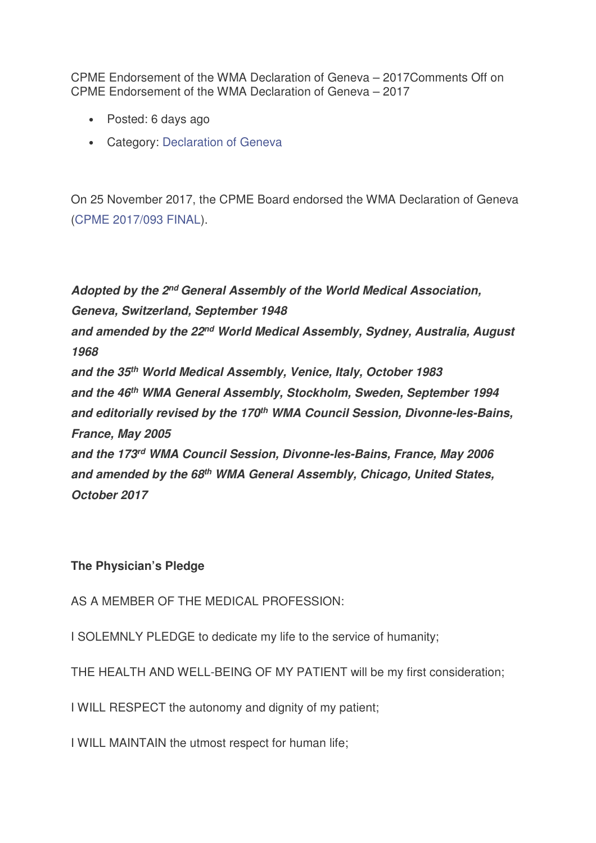CPME Endorsement of the WMA Declaration of Geneva – 2017Comments Off on CPME Endorsement of the WMA Declaration of Geneva – 2017

- Posted: 6 days ago
- Category: Declaration of Geneva

On 25 November 2017, the CPME Board endorsed the WMA Declaration of Geneva (CPME 2017/093 FINAL).

**Adopted by the 2nd General Assembly of the World Medical Association, Geneva, Switzerland, September 1948 and amended by the 22nd World Medical Assembly, Sydney, Australia, August 1968 and the 35th World Medical Assembly, Venice, Italy, October 1983 and the 46th WMA General Assembly, Stockholm, Sweden, September 1994 and editorially revised by the 170th WMA Council Session, Divonne-les-Bains, France, May 2005 and the 173rd WMA Council Session, Divonne-les-Bains, France, May 2006 and amended by the 68th WMA General Assembly, Chicago, United States, October 2017**

## **The Physician's Pledge**

AS A MEMBER OF THE MEDICAL PROFESSION:

I SOLEMNLY PLEDGE to dedicate my life to the service of humanity;

THE HEALTH AND WELL-BEING OF MY PATIENT will be my first consideration;

I WILL RESPECT the autonomy and dignity of my patient;

I WILL MAINTAIN the utmost respect for human life;